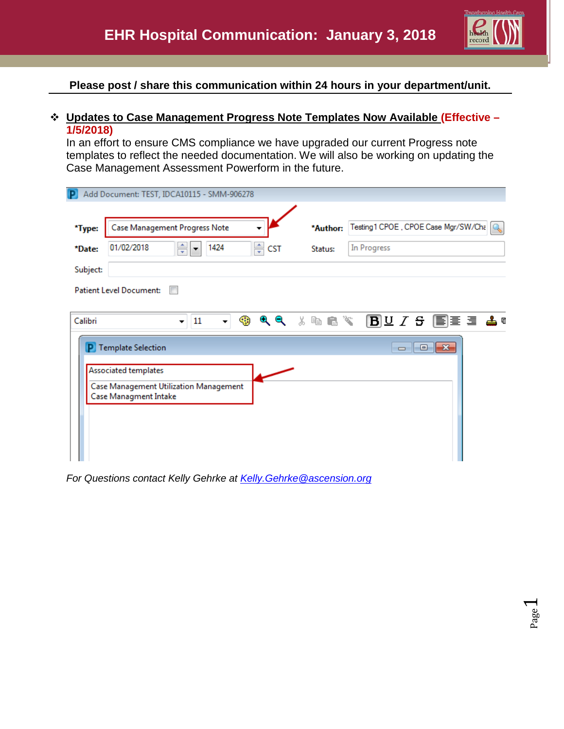

Page  $\overline{\phantom{0}}$ 

**Please post / share this communication within 24 hours in your department/unit.**

## **Updates to Case Management Progress Note Templates Now Available (Effective – 1/5/2018)**

In an effort to ensure CMS compliance we have upgraded our current Progress note templates to reflect the needed documentation. We will also be working on updating the Case Management Assessment Powerform in the future.

| P                                                                                                              |                                | Add Document: TEST, IDCA10115 - SMM-906278 |       |          |                                      |  |  |  |  |  |
|----------------------------------------------------------------------------------------------------------------|--------------------------------|--------------------------------------------|-------|----------|--------------------------------------|--|--|--|--|--|
| *Type:                                                                                                         |                                | Case Management Progress Note              |       | *Author: | Testing 1 CPOE, CPOE Case Mgr/SW/Cha |  |  |  |  |  |
| *Date:                                                                                                         | 01/02/2018                     | ÷<br>1424                                  | ≑ csт | Status:  | In Progress                          |  |  |  |  |  |
| Subject:                                                                                                       |                                |                                            |       |          |                                      |  |  |  |  |  |
|                                                                                                                | <b>Patient Level Document:</b> |                                            |       |          |                                      |  |  |  |  |  |
| 3 @ @ *\ BD Z & FEE E & @<br>Q Q<br>☜<br>Calibri<br>11<br>$\overline{\phantom{0}}$<br>$\overline{\phantom{a}}$ |                                |                                            |       |          |                                      |  |  |  |  |  |
|                                                                                                                | P Template Selection           |                                            |       |          | $\Box$ $\Box$ $\mathbf{x}$           |  |  |  |  |  |
|                                                                                                                | Associated templates           |                                            |       |          |                                      |  |  |  |  |  |
| Case Management Utilization Management<br>Case Managment Intake                                                |                                |                                            |       |          |                                      |  |  |  |  |  |
|                                                                                                                |                                |                                            |       |          |                                      |  |  |  |  |  |
|                                                                                                                |                                |                                            |       |          |                                      |  |  |  |  |  |
|                                                                                                                |                                |                                            |       |          |                                      |  |  |  |  |  |

*For Questions contact Kelly Gehrke at [Kelly.Gehrke@ascension.org](mailto:Kelly.Gehrke@ascension.org)*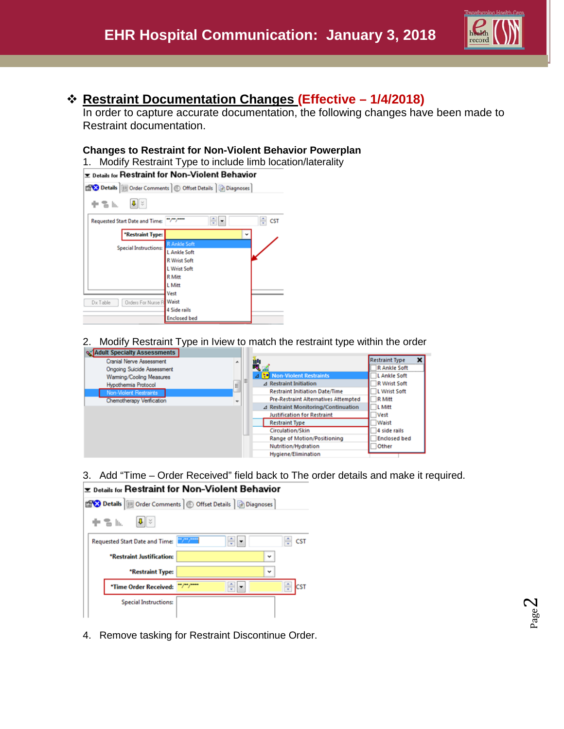

Page  $\mathrel{\sim}$ 

# **Restraint Documentation Changes (Effective – 1/4/2018)**

In order to capture accurate documentation, the following changes have been made to Restraint documentation.

### **Changes to Restraint for Non-Violent Behavior Powerplan**

1. Modify Restraint Type to include limb location/laterality



2. Modify Restraint Type in Iview to match the restraint type within the order



3. Add "Time – Order Received" field back to The order details and make it required. **Exable 15 Feedman 20 Feedman Section** Section Pressure or



4. Remove tasking for Restraint Discontinue Order.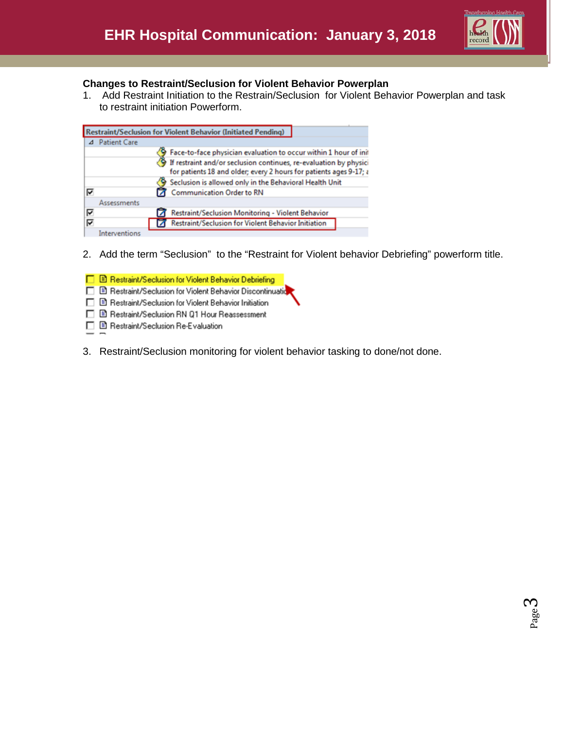

#### **Changes to Restraint/Seclusion for Violent Behavior Powerplan**

1. Add Restraint Initiation to the Restrain/Seclusion for Violent Behavior Powerplan and task to restraint initiation Powerform.

|   |                     | <b>Restraint/Seclusion for Violent Behavior (Initiated Pending)</b>                                                                     |
|---|---------------------|-----------------------------------------------------------------------------------------------------------------------------------------|
|   | <b>Patient Care</b> |                                                                                                                                         |
|   |                     | Face-to-face physician evaluation to occur within 1 hour of init                                                                        |
|   |                     | If restraint and/or seclusion continues, re-evaluation by physici<br>for patients 18 and older; every 2 hours for patients ages 9-17; a |
|   |                     | Seclusion is allowed only in the Behavioral Health Unit                                                                                 |
| ⊽ |                     | Communication Order to RN                                                                                                               |
|   | <b>Assessments</b>  |                                                                                                                                         |
| ⊽ |                     | Restraint/Seclusion Monitoring - Violent Behavior                                                                                       |
| ⊽ |                     | Restraint/Seclusion for Violent Behavior Initiation                                                                                     |
|   | Interventions       |                                                                                                                                         |

2. Add the term "Seclusion" to the "Restraint for Violent behavior Debriefing" powerform title.

□ B Restraint/Seclusion for Violent Behavior Debriefing

- □ B Restraint/Seclusion for Violent Behavior Discontinuatio
- □ B Restraint/Seclusion for Violent Behavior Initiation
- □ B Restraint/Seclusion RN Q1 Hour Reassessment
- □ B Restraint/Seclusion Re-Evaluation
- 3. Restraint/Seclusion monitoring for violent behavior tasking to done/not done.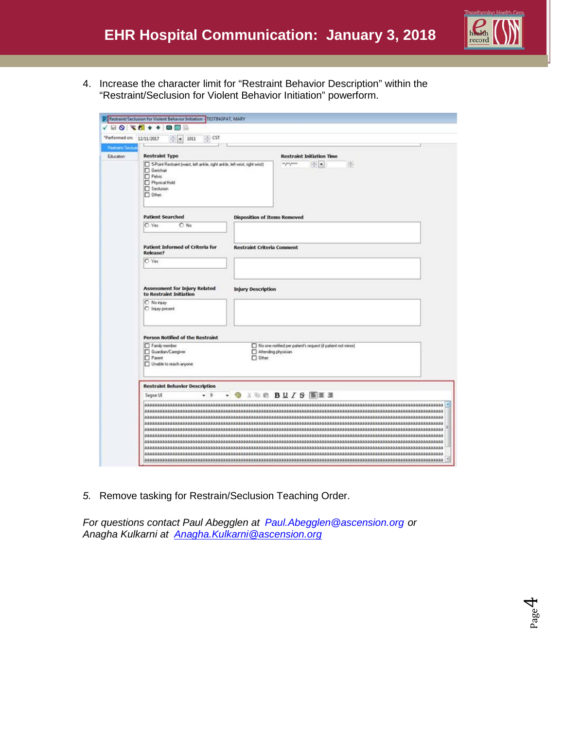

Page 4

4. Increase the character limit for "Restraint Behavior Description" within the "Restraint/Seclusion for Violent Behavior Initiation" powerform.

|                             | <b>A E &amp; A &amp; A &amp; A &amp; A &amp; A</b>                                                                                                 |                                   |                                                                                     |  |  |  |  |
|-----------------------------|----------------------------------------------------------------------------------------------------------------------------------------------------|-----------------------------------|-------------------------------------------------------------------------------------|--|--|--|--|
|                             | *Performed on: 12/11/2017<br>$\frac{1}{2}$ CST<br>$-1011$                                                                                          |                                   |                                                                                     |  |  |  |  |
| Restract/Secks<br>Education | <b>Restraint Type</b>                                                                                                                              |                                   | <b>Restraint Initiation Time</b>                                                    |  |  |  |  |
|                             | 5-Point Restraint (waist, left ankle, right ankle, left wrist, right wrist)<br>Gerichae<br>Pelvic<br>Phytical Hold<br>Seclusion<br><b>IT</b> Other |                                   | 图画<br>伶<br>os por posos                                                             |  |  |  |  |
|                             | <b>Patient Searched</b>                                                                                                                            |                                   | <b>Disposition of Items Removed</b>                                                 |  |  |  |  |
|                             | C Yes<br>$O$ No                                                                                                                                    |                                   |                                                                                     |  |  |  |  |
|                             | <b>Patient Informed of Criteria for</b><br>Release?                                                                                                | <b>Restraint Criteria Comment</b> |                                                                                     |  |  |  |  |
|                             | C Yes                                                                                                                                              |                                   |                                                                                     |  |  |  |  |
|                             | <b>Assessment for Injury Related</b><br>to Restraint Initiation<br>O No reay<br>C Injury present                                                   | <b>Injury Description</b>         |                                                                                     |  |  |  |  |
|                             | Person Notified of the Restraint                                                                                                                   |                                   |                                                                                     |  |  |  |  |
|                             | Family member<br>Guardian/Caregiver<br>Parent<br>Unable to reach anyone                                                                            | $\Box$ Other:                     | No one notified per patient's request (if patient not minor)<br>Attending physician |  |  |  |  |
|                             | <b>Restraint Behavior Description</b>                                                                                                              |                                   |                                                                                     |  |  |  |  |
|                             | $-9$<br>Segoe UI                                                                                                                                   |                                   |                                                                                     |  |  |  |  |
|                             |                                                                                                                                                    |                                   |                                                                                     |  |  |  |  |

*5.* Remove tasking for Restrain/Seclusion Teaching Order.

*For questions contact Paul Abegglen at [Paul.Abegglen@ascension.org](mailto:Paul.Abegglen@ascension.org) or Anagha Kulkarni at [Anagha.Kulkarni@ascension.org](mailto:Anagha.Kulkarni@ascension.org)*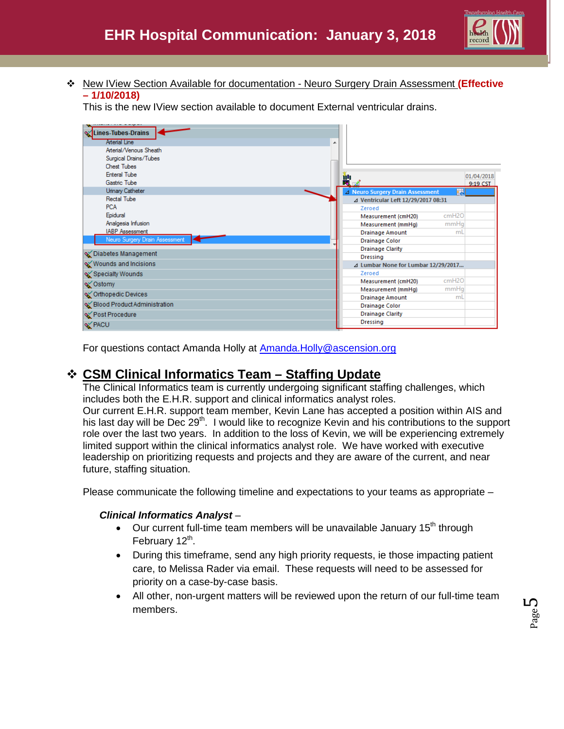New IView Section Available for documentation - Neuro Surgery Drain Assessment **(Effective – 1/10/2018)**

This is the new IView section available to document External ventricular drains.



For questions contact Amanda Holly at [Amanda.Holly@ascension.org](mailto:Amanda.Holly@ascension.org)

# **CSM Clinical Informatics Team – Staffing Update**

The Clinical Informatics team is currently undergoing significant staffing challenges, which includes both the E.H.R. support and clinical informatics analyst roles. Our current E.H.R. support team member, Kevin Lane has accepted a position within AIS and his last day will be Dec  $29<sup>th</sup>$ . I would like to recognize Kevin and his contributions to the support role over the last two years. In addition to the loss of Kevin, we will be experiencing extremely limited support within the clinical informatics analyst role. We have worked with executive leadership on prioritizing requests and projects and they are aware of the current, and near

future, staffing situation.

Please communicate the following timeline and expectations to your teams as appropriate –

### *Clinical Informatics Analyst* –

- Our current full-time team members will be unavailable January  $15<sup>th</sup>$  through February 12<sup>th</sup>.
- During this timeframe, send any high priority requests, ie those impacting patient care, to Melissa Rader via email. These requests will need to be assessed for priority on a case-by-case basis.
- All other, non-urgent matters will be reviewed upon the return of our full-time team members.